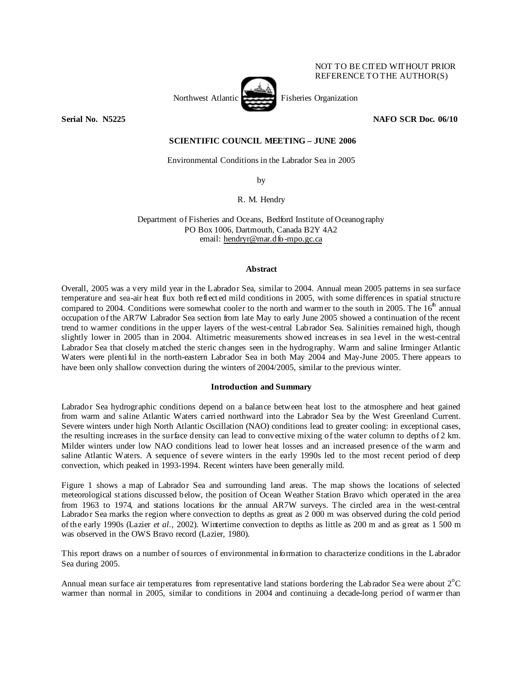# NOT TO BE CITED WITHOUT PRIOR REFERENCE TO THE AUTHOR(S)



**Serial No. N5225 NAFO SCR Doc. 06/10** 

# **SCIENTIFIC COUNCIL MEETING – JUNE 2006**

Environmental Conditions in the Labrador Sea in 2005

by

R. M. Hendry

Department of Fisheries and Oceans, Bedford Institute of Oceanography PO Box 1006, Dartmouth, Canada B2Y 4A2 email: hendryr@mar.dfo-mpo.gc.ca

## **Abstract**

Overall, 2005 was a very mild year in the Labrador Sea, similar to 2004. Annual mean 2005 patterns in sea surface temperature and sea-air heat flux both reflected mild conditions in 2005, with some differences in spatial structure compared to 2004. Conditions were somewhat cooler to the north and warmer to the south in 2005. The  $16<sup>th</sup>$  annual occupation of the AR7W Labrador Sea section from late May to early June 2005 showed a continuation of the recent trend to warmer conditions in the upper layers of the west-central Labrador Sea. Salinities remained high, though slightly lower in 2005 than in 2004. Altimetric measurements showed increases in sea level in the west-central Labrador Sea that closely matched the steric changes seen in the hydrography. Warm and saline Irminger Atlantic Waters were plentiful in the north-eastern Labrador Sea in both May 2004 and May-June 2005. There appears to have been only shallow convection during the winters of 2004/2005, similar to the previous winter.

## **Introduction and Summary**

Labrador Sea hydrographic conditions depend on a balance between heat lost to the atmosphere and heat gained from warm and saline Atlantic Waters carried northward into the Labrador Sea by the West Greenland Current. Severe winters under high North Atlantic Oscillation (NAO) conditions lead to greater cooling: in exceptional cases, the resulting increases in the surface density can lead to convective mixing of the water column to depths of 2 km. Milder winters under low NAO conditions lead to lower heat losses and an increased presence of the warm and saline Atlantic Waters. A sequence of severe winters in the early 1990s led to the most recent period of deep convection, which peaked in 1993-1994. Recent winters have been generally mild.

Figure 1 shows a map of Labrador Sea and surrounding land areas. The map shows the locations of selected meteorological stations discussed below, the position of Ocean Weather Station Bravo which operated in the area from 1963 to 1974, and stations locations for the annual AR7W surveys. The circled area in the west-central Labrador Sea marks the region where convection to depths as great as 2 000 m was observed during the cold period of the early 1990s (Lazier *et al*., 2002). Wintertime convection to depths as little as 200 m and as great as 1 500 m was observed in the OWS Bravo record (Lazier, 1980).

This report draws on a number of sources of environmental information to characterize conditions in the Labrador Sea during 2005.

Annual mean surface air temperatures from representative land stations bordering the Labrador Sea were about  $2^{\circ}C$ warmer than normal in 2005, similar to conditions in 2004 and continuing a decade-long period of warmer than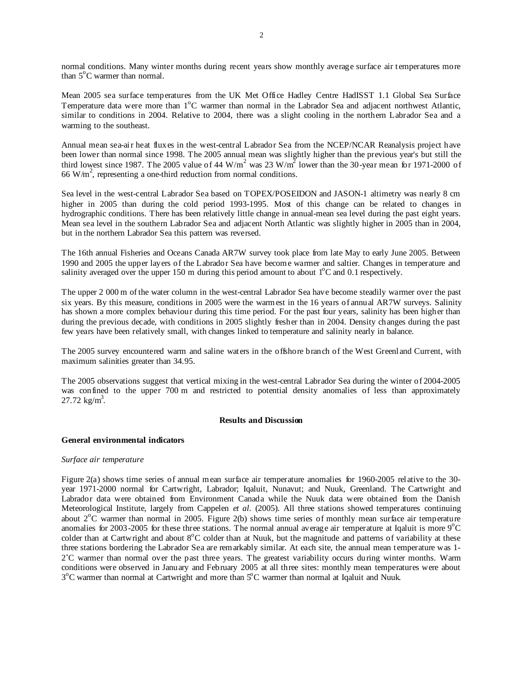normal conditions. Many winter months during recent years show monthly average surface air temperatures more than  $5^{\circ}$ C warmer than normal.

Mean 2005 sea surface temperatures from the UK Met Office Hadley Centre HadISST 1.1 Global Sea Surface Temperature data were more than 1<sup>o</sup>C warmer than normal in the Labrador Sea and adjacent northwest Atlantic, similar to conditions in 2004. Relative to 2004, there was a slight cooling in the northern Labrador Sea and a warming to the southeast.

Annual mean sea-air heat fluxes in the west-central Labrador Sea from the NCEP/NCAR Reanalysis project have been lower than normal since 1998. The 2005 annual mean was slightly higher than the previous year's but still the third lowest since 1987. The 2005 value of 44 W/m<sup>2</sup> was 23 W/m<sup>2</sup> lower than the 30-year mean for 1971-2000 of 66 W/m<sup>2</sup>, representing a one-third reduction from normal conditions.

Sea level in the west-central Labrador Sea based on TOPEX/POSEIDON and JASON-1 altimetry was nearly 8 cm higher in 2005 than during the cold period 1993-1995. Most of this change can be related to changes in hydrographic conditions. There has been relatively little change in annual-mean sea level during the past eight years. Mean sea level in the southern Labrador Sea and adjacent North Atlantic was slightly higher in 2005 than in 2004, but in the northern Labrador Sea this pattern was reversed.

The 16th annual Fisheries and Oceans Canada AR7W survey took place from late May to early June 2005. Between 1990 and 2005 the upper layers of the Labrador Sea have become warmer and saltier. Changes in temperature and salinity averaged over the upper 150 m during this period amount to about  $1^{\circ}$ C and 0.1 respectively.

The upper 2 000 m of the water column in the west-central Labrador Sea have become steadily warmer over the past six years. By this measure, conditions in 2005 were the warmest in the 16 years of annual AR7W surveys. Salinity has shown a more complex behaviour during this time period. For the past four years, salinity has been higher than during the previous decade, with conditions in 2005 slightly fresher than in 2004. Density changes during the past few years have been relatively small, with changes linked to temperature and salinity nearly in balance.

The 2005 survey encountered warm and saline waters in the offshore branch of the West Greenland Current, with maximum salinities greater than 34.95.

The 2005 observations suggest that vertical mixing in the west-central Labrador Sea during the winter of 2004-2005 was confined to the upper 700 m and restricted to potential density anomalies of less than approximately 27.72  $\text{kg/m}^3$ .

# **Results and Discussion**

## **General environmental indicators**

## *Surface air temperature*

Figure 2(a) shows time series of annual mean surface air temperature anomalies for 1960-2005 relative to the 30 year 1971-2000 normal for Cartwright, Labrador; Iqaluit, Nunavut; and Nuuk, Greenland. The Cartwright and Labrador data were obtained from Environment Canada while the Nuuk data were obtained from the Danish Meteorological Institute, largely from Cappelen *et al.* (2005). All three stations showed temperatures continuing about  $2^{\circ}$ C warmer than normal in 2005. Figure 2(b) shows time series of monthly mean surface air temperature anomalies for 2003-2005 for these three stations. The normal annual average air temperature at Iqaluit is more  $9^{\circ}$ C colder than at Cartwright and about 8°C colder than at Nuuk, but the magnitude and patterns of variability at these three stations bordering the Labrador Sea are remarkably similar. At each site, the annual mean temperature was 1- 2˚C warmer than normal over the past three years. The greatest variability occurs during winter months. Warm conditions were observed in January and February 2005 at all three sites: monthly mean temperatures were about 3<sup>o</sup>C warmer than normal at Cartwright and more than 5<sup>o</sup>C warmer than normal at Iqaluit and Nuuk.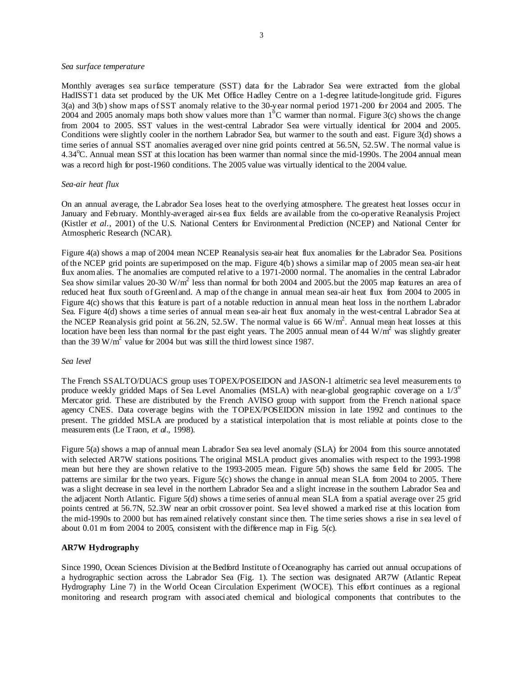#### *Sea surface temperature*

Monthly averages sea surface temperature (SST) data for the Labrador Sea were extracted from the global HadISST1 data set produced by the UK Met Office Hadley Centre on a 1-degree latitude-longitude grid. Figures 3(a) and 3(b) show maps of SST anomaly relative to the 30-year normal period 1971-200 for 2004 and 2005. The 2004 and 2005 anomaly maps both show values more than  $1<sup>6</sup>C$  warmer than normal. Figure 3(c) shows the change from 2004 to 2005. SST values in the west-central Labrador Sea were virtually identical for 2004 and 2005. Conditions were slightly cooler in the northern Labrador Sea, but warmer to the south and east. Figure 3(d) shows a time series of annual SST anomalies averaged over nine grid points centred at 56.5N, 52.5W. The normal value is 4.34°C. Annual mean SST at this location has been warmer than normal since the mid-1990s. The 2004 annual mean was a record high for post-1960 conditions. The 2005 value was virtually identical to the 2004 value.

### *Sea-air heat flux*

On an annual average, the Labrador Sea loses heat to the overlying atmosphere. The greatest heat losses occur in January and February. Monthly-averaged air-sea flux fields are available from the co-operative Reanalysis Project (Kistler *et al*., 2001) of the U.S. National Centers for Environmental Prediction (NCEP) and National Center for Atmospheric Research (NCAR).

Figure 4(a) shows a map of 2004 mean NCEP Reanalysis sea-air heat flux anomalies for the Labrador Sea. Positions of the NCEP grid points are superimposed on the map. Figure 4(b) shows a similar map of 2005 mean sea-air heat flux anomalies. The anomalies are computed relative to a 1971-2000 normal. The anomalies in the central Labrador Sea show similar values 20-30 W/m<sup>2</sup> less than normal for both 2004 and 2005 but the 2005 map features an area of reduced heat flux south of Greenland. A map of the change in annual mean sea-air heat flux from 2004 to 2005 in Figure 4(c) shows that this feature is part of a notable reduction in annual mean heat loss in the northern Labrador Sea. Figure 4(d) shows a time series of annual mean sea-air heat flux anomaly in the west-central Labrador Sea at the NCEP Reanalysis grid point at 56.2N, 52.5W. The normal value is 66  $W/m<sup>2</sup>$ . Annual mean heat losses at this location have been less than normal for the past eight years. The 2005 annual mean of 44 W/m<sup>2</sup> was slightly greater than the 39 W/m<sup>2</sup> value for 2004 but was still the third lowest since 1987.

### *Sea level*

The French SSALTO/DUACS group uses TOPEX/POSEIDON and JASON-1 altimetric sea level measurements to produce weekly gridded Maps of Sea Level Anomalies (MSLA) with near-global geographic coverage on a  $1/3^\circ$ Mercator grid. These are distributed by the French AVISO group with support from the French national space agency CNES. Data coverage begins with the TOPEX/POSEIDON mission in late 1992 and continues to the present. The gridded MSLA are produced by a statistical interpolation that is most reliable at points close to the measurements (Le Traon, *et al.*, 1998).

Figure 5(a) shows a map of annual mean Labrador Sea sea level anomaly (SLA) for 2004 from this source annotated with selected AR7W stations positions. The original MSLA product gives anomalies with respect to the 1993-1998 mean but here they are shown relative to the 1993-2005 mean. Figure 5(b) shows the same field for 2005. The patterns are similar for the two years. Figure 5(c) shows the change in annual mean SLA from 2004 to 2005. There was a slight decrease in sea level in the northern Labrador Sea and a slight increase in the southern Labrador Sea and the adjacent North Atlantic. Figure 5(d) shows a time series of annual mean SLA from a spatial average over 25 grid points centred at 56.7N, 52.3W near an orbit crossover point. Sea level showed a marked rise at this location from the mid-1990s to 2000 but has remained relatively constant since then. The time series shows a rise in sea level of about  $0.01$  m from 2004 to 2005, consistent with the difference map in Fig. 5(c).

## **AR7W Hydrography**

Since 1990, Ocean Sciences Division at the Bedford Institute of Oceanography has carried out annual occupations of a hydrographic section across the Labrador Sea (Fig. 1). The section was designated AR7W (Atlantic Repeat Hydrography Line 7) in the World Ocean Circulation Experiment (WOCE). This effort continues as a regional monitoring and research program with associated chemical and biological components that contributes to the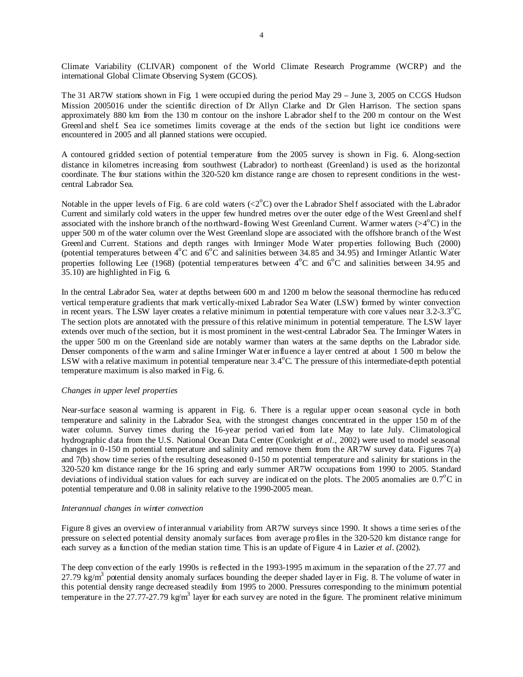Climate Variability (CLIVAR) component of the World Climate Research Programme (WCRP) and the international Global Climate Observing System (GCOS).

The 31 AR7W stations shown in Fig. 1 were occupied during the period May 29 – June 3, 2005 on CCGS Hudson Mission 2005016 under the scientific direction of Dr Allyn Clarke and Dr Glen Harrison. The section spans approximately 880 km from the 130 m contour on the inshore Labrador shelf to the 200 m contour on the West Greenland shelf. Sea ice sometimes limits coverage at the ends of the section but light ice conditions were encountered in 2005 and all planned stations were occupied.

A contoured gridded section of potential temperature from the 2005 survey is shown in Fig. 6. Along-section distance in kilometres increasing from southwest (Labrador) to northeast (Greenland) is used as the horizontal coordinate. The four stations within the 320-520 km distance range are chosen to represent conditions in the westcentral Labrador Sea.

Notable in the upper levels of Fig. 6 are cold waters  $(<2^{\circ}C$ ) over the Labrador Shelf associated with the Labrador Current and similarly cold waters in the upper few hundred metres over the outer edge of the West Greenland shelf associated with the inshore branch of the northward-flowing West Greenland Current. Warmer waters  $(>4^{\circ}C)$  in the upper 500 m of the water column over the West Greenland slope are associated with the offshore branch of the West Greenland Current. Stations and depth ranges with Irminger Mode Water properties following Buch (2000) (potential temperatures between  $4^{\circ}$ C and  $6^{\circ}$ C and salinities between 34.85 and 34.95) and Irminger Atlantic Water properties following Lee (1968) (potential temperatures between  $4^{\circ}$ C and  $6^{\circ}$ C and salinities between 34.95 and 35.10) are highlighted in Fig. 6.

In the central Labrador Sea, water at depths between 600 m and 1200 m below the seasonal thermocline has reduced vertical temperature gradients that mark vertically-mixed Labrador Sea Water (LSW) formed by winter convection in recent years. The LSW layer creates a relative minimum in potential temperature with core values near  $3.2$ - $3.3^{\circ}$ C. The section plots are annotated with the pressure of this relative minimum in potential temperature. The LSW layer extends over much of the section, but it is most prominent in the west-central Labrador Sea. The Irminger Waters in the upper 500 m on the Greenland side are notably warmer than waters at the same depths on the Labrador side. Denser components of the warm and saline Irminger Water influence a layer centred at about 1 500 m below the LSW with a relative maximum in potential temperature near  $3.4^{\circ}$ C. The pressure of this intermediate-depth potential temperature maximum is also marked in Fig. 6.

## *Changes in upper level properties*

Near-surface seasonal warming is apparent in Fig. 6. There is a regular upper ocean seasonal cycle in both temperature and salinity in the Labrador Sea, with the strongest changes concentrated in the upper 150 m of the water column. Survey times during the 16-year period varied from late May to late July. Climatological hydrographic data from the U.S. National Ocean Data C enter (Conkright *et al*., 2002) were used to model seasonal changes in 0-150 m potential temperature and salinity and remove them from the AR7W survey data. Figures  $7(a)$ and 7(b) show time series of the resulting deseasoned 0-150 m potential temperature and salinity for stations in the 320-520 km distance range for the 16 spring and early summer AR7W occupations from 1990 to 2005. Standard deviations of individual station values for each survey are indicated on the plots. The 2005 anomalies are  $0.7^{\circ}$ C in potential temperature and 0.08 in salinity relative to the 1990-2005 mean.

# *Interannual changes in winter convection*

Figure 8 gives an overview of interannual variability from AR7W surveys since 1990. It shows a time series of the pressure on selected potential density anomaly surfaces from average profiles in the 320-520 km distance range for each survey as a function of the median station time. This is an update of Figure 4 in Lazier *et al*. (2002).

The deep convection of the early 1990s is reflected in the 1993-1995 maximum in the separation of the 27.77 and 27.79  $kg/m<sup>3</sup>$  potential density anomaly surfaces bounding the deeper shaded layer in Fig. 8. The volume of water in this potential density range decreased steadily from 1995 to 2000. Pressures corresponding to the minimum potential temperature in the 27.77-27.79 kg/m<sup>3</sup> layer for each survey are noted in the figure. The prominent relative minimum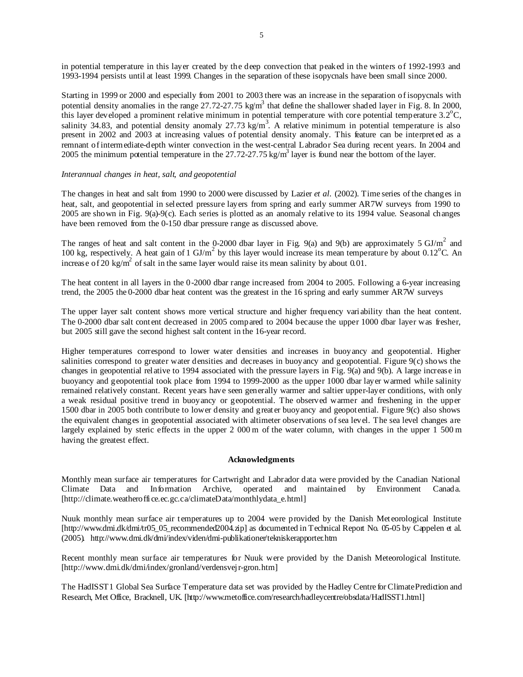in potential temperature in this layer created by the deep convection that peaked in the winters of 1992-1993 and 1993-1994 persists until at least 1999. Changes in the separation of these isopycnals have been small since 2000.

Starting in 1999 or 2000 and especially from 2001 to 2003 there was an increase in the separation of isopycnals with potential density anomalies in the range 27.72-27.75 kg/m<sup>3</sup> that define the shallower shaded layer in Fig. 8. In 2000, this layer developed a prominent relative minimum in potential temperature with core potential temperature  $3.2^{\circ}$ C, salinity 34.83, and potential density anomaly 27.73 kg/m<sup>3</sup>. A relative minimum in potential temperature is also present in 2002 and 2003 at increasing values of potential density anomaly. This feature can be interpreted as a remnant of intermediate-depth winter convection in the west-central Labrador Sea during recent years. In 2004 and 2005 the minimum potential temperature in the 27.72-27.75 kg/m<sup>3</sup> layer is found near the bottom of the layer.

# *Interannual changes in heat, salt, and geopotential*

The changes in heat and salt from 1990 to 2000 were discussed by Lazier *et al.* (2002). Time series of the changes in heat, salt, and geopotential in selected pressure layers from spring and early summer AR7W surveys from 1990 to 2005 are shown in Fig. 9(a)-9(c). Each series is plotted as an anomaly relative to its 1994 value. Seasonal changes have been removed from the 0-150 dbar pressure range as discussed above.

The ranges of heat and salt content in the 0-2000 dbar layer in Fig. 9(a) and 9(b) are approximately 5  $GI/m<sup>2</sup>$  and 100 kg, respectively. A heat gain of 1  $\text{GJ/m}^2$  by this layer would increase its mean temperature by about 0.12<sup>o</sup>C. An increase of 20 kg/m<sup>2</sup> of salt in the same layer would raise its mean salinity by about 0.01.

The heat content in all layers in the 0-2000 dbar range increased from 2004 to 2005. Following a 6-year increasing trend, the 2005 the 0-2000 dbar heat content was the greatest in the 16 spring and early summer AR7W surveys

The upper layer salt content shows more vertical structure and higher frequency variability than the heat content. The 0-2000 dbar salt content decreased in 2005 compared to 2004 because the upper 1000 dbar layer was fresher, but 2005 still gave the second highest salt content in the 16-year record.

Higher temperatures correspond to lower water densities and increases in buoyancy and geopotential. Higher salinities correspond to greater water densities and decreases in buoyancy and geopotential. Figure 9(c) shows the changes in geopotential relative to 1994 associated with the pressure layers in Fig. 9(a) and 9(b). A large increase in buoyancy and geopotential took place from 1994 to 1999-2000 as the upper 1000 dbar layer warmed while salinity remained relatively constant. Recent years have seen generally warmer and saltier upper-layer conditions, with only a weak residual positive trend in buoyancy or geopotential. The observed warmer and freshening in the upper 1500 dbar in 2005 both contribute to lower density and greater buoyancy and geopotential. Figure 9(c) also shows the equivalent changes in geopotential associated with altimeter observations of sea level. The sea level changes are largely explained by steric effects in the upper 2 000 m of the water column, with changes in the upper 1 500 m having the greatest effect.

#### **Acknowledgments**

Monthly mean surface air temperatures for Cartwright and Labrador data were provided by the Canadian National Climate Data and Information Archive, operated and maintained by Environment Canada. [http://climate.weatheroffice.ec.gc.ca/climateData/monthlydata\_e.html]

Nuuk monthly mean surface air temperatures up to 2004 were provided by the Danish Meteorological Institute [http://www.dmi.dk/dmi/tr05\_05\_recommended2004.zip] as documented in Technical Report No. 05-05 by Cappelen et al. (2005). http://www.dmi.dk/dmi/index/viden/dmi-publikationer/tekniskerapporter.htm

Recent monthly mean surface air temperatures for Nuuk were provided by the Danish Meteorological Institute. [http://www.dmi.dk/dmi/index/gronland/verdensvej r-gron.htm]

The HadISST1 Global Sea Surface Temperature data set was provided by the Hadley Centre for Climate Prediction and Research, Met Office, Bracknell, UK. [http://www.metoffice.com/research/hadleycentre/obsdata/HadISST1.html]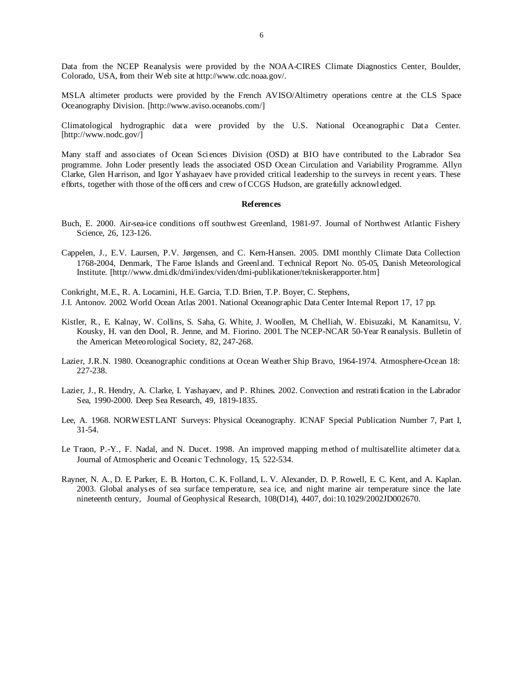Data from the NCEP Reanalysis were provided by the NOAA-CIRES Climate Diagnostics Center, Boulder, Colorado, USA, from their Web site at http://www.cdc.noaa.gov/.

MSLA altimeter products were provided by the French AVISO/Altimetry operations centre at the CLS Space Oceanography Division. [http://www.aviso.oceanobs.com/]

Climatological hydrographic data were provided by the U.S. National Oceanographic Data Center. [http://www.nodc.gov/]

Many staff and associates of Ocean Sciences Division (OSD) at BIO have contributed to the Labrador Sea programme. John Loder presently leads the associated OSD Ocean Circulation and Variability Programme. Allyn Clarke, Glen Harrison, and Igor Yashayaev have provided critical leadership to the surveys in recent years. These efforts, together with those of the officers and crew of CCGS Hudson, are gratefully acknowledged.

#### **References**

- Buch, E. 2000. Air-sea-ice conditions off southwest Greenland, 1981-97. Journal of Northwest Atlantic Fishery Science, 26, 123-126.
- Cappelen, J., E.V. Laursen, P.V. Jørgensen, and C. Kern-Hansen. 2005. DMI monthly Climate Data Collection 1768-2004, Denmark, The Faroe Islands and Greenland. Technical Report No. 05-05, Danish Meteorological Institute. [http://www.dmi.dk/dmi/index/viden/dmi-publikationer/tekniskerapporter.htm]

Conkright, M.E., R. A. Locarnini, H.E. Garcia, T.D. Brien, T.P. Boyer, C. Stephens, J.I. Antonov. 2002. World Ocean Atlas 2001. National Oceanographic Data Center Internal Report 17, 17 pp.

- Kistler, R., E. Kalnay, W. Collins, S. Saha, G. White, J. Woollen, M. Chelliah, W. Ebisuzaki, M. Kanamitsu, V. Kousky, H. van den Dool, R. Jenne, and M. Fiorino. 2001. The NCEP-NCAR 50-Year R eanalysis. Bulletin of the American Meteorological Society, 82, 247-268.
- Lazier, J.R.N. 1980. Oceanographic conditions at Ocean Weather Ship Bravo, 1964-1974. Atmosphere-Ocean 18: 227-238.
- Lazier, J., R. Hendry, A. Clarke, I. Yashayaev, and P. Rhines. 2002. Convection and restratification in the Labrador Sea, 1990-2000. Deep Sea Research, 49, 1819-1835.
- Lee, A. 1968. NORWESTLANT Surveys: Physical Oceanography. ICNAF Special Publication Number 7, Part I, 31-54.
- Le Traon, P.-Y., F. Nadal, and N. Ducet. 1998. An improved mapping method of multisatellite altimeter data. Journal of Atmospheric and Oceanic Technology, 15, 522-534.
- Rayner, N. A., D. E. Parker, E. B. Horton, C. K. Folland, L. V. Alexander, D. P. Rowell, E. C. Kent, and A. Kaplan. 2003. Global analyses of sea surface temperature, sea ice, and night marine air temperature since the late nineteenth century, Journal of Geophysical Research, 108(D14), 4407, doi:10.1029/2002JD002670.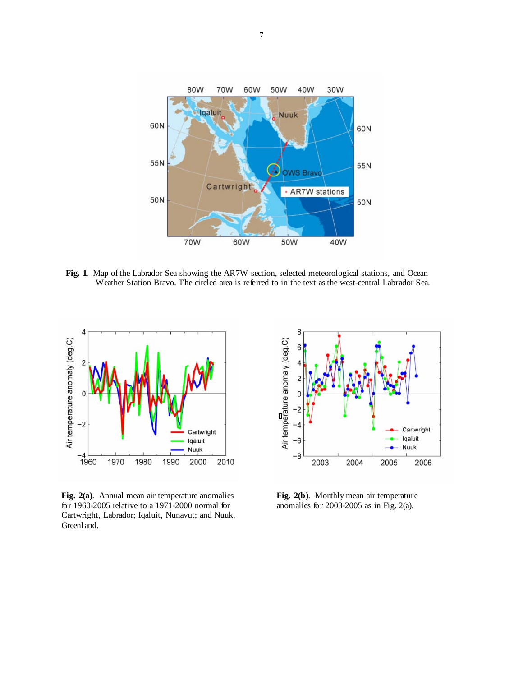

**Fig. 1**.Map of the Labrador Sea showing the AR7W section, selected meteorological stations, and Ocean Weather Station Bravo. The circled area is referred to in the text as the west-central Labrador Sea.



**Fig. 2(a)**.Annual mean air temperature anomalies for 1960-2005 relative to a 1971-2000 normal for Cartwright, Labrador; Iqaluit, Nunavut; and Nuuk, Greenland.



**Fig. 2(b)**. Monthly mean air temperature anomalies for 2003-2005 as in Fig. 2(a).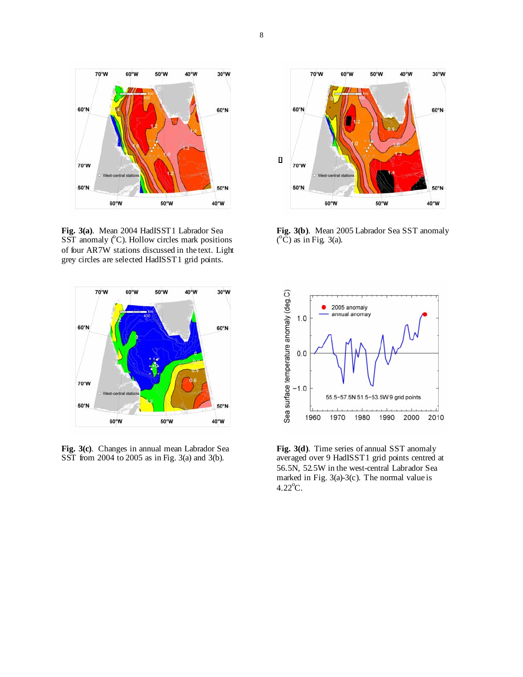

**Fig. 3(a)**.Mean 2004 HadISST1 Labrador Sea  $SST$  anomaly  $(^{\circ}C)$ . Hollow circles mark positions of four AR7W stations discussed in the text. Light grey circles are selected HadISST1 grid points.



**Fig. 3(c)**. Changes in annual mean Labrador Sea SST from 2004 to 2005 as in Fig. 3(a) and 3(b).



**Fig. 3(b)**. Mean 2005 Labrador Sea SST anomaly  $({}^{\circ}\check{C})$  as in Fig. 3(a).



**Fig. 3(d)**. Time series of annual SST anomaly averaged over 9 HadISST1 grid points centred at 56.5N, 52.5W in the west-central Labrador Sea marked in Fig. 3(a)-3(c). The normal value is  $4.22^{\circ}$ C.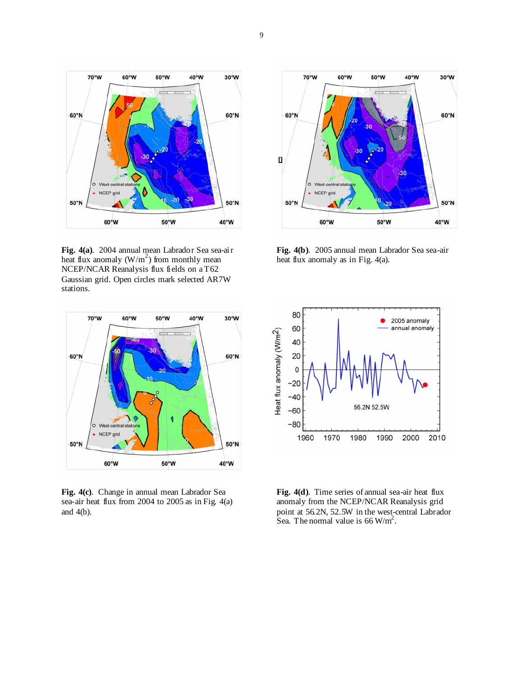

**Fig. 4(a)**. 2004 annual mean Labrador Sea sea-air heat flux anomaly  $(W/m^2)$  from monthly mean NCEP/NCAR Reanalysis flux fields on a T62 Gaussian grid. Open circles mark selected AR7W stations.



**Fig. 4(c)**. Change in annual mean Labrador Sea sea-air heat flux from 2004 to 2005 as in Fig. 4(a) and 4(b).



**Fig. 4(b)**. 2005 annual mean Labrador Sea sea-air heat flux anomaly as in Fig. 4(a).



Fig. 4(d). Time series of annual sea-air heat flux anomaly from the NCEP/NCAR Reanalysis grid point at 56.2N, 52.5W in the west-central Labrador Sea. The normal value is  $66 \text{ W/m}^2$ .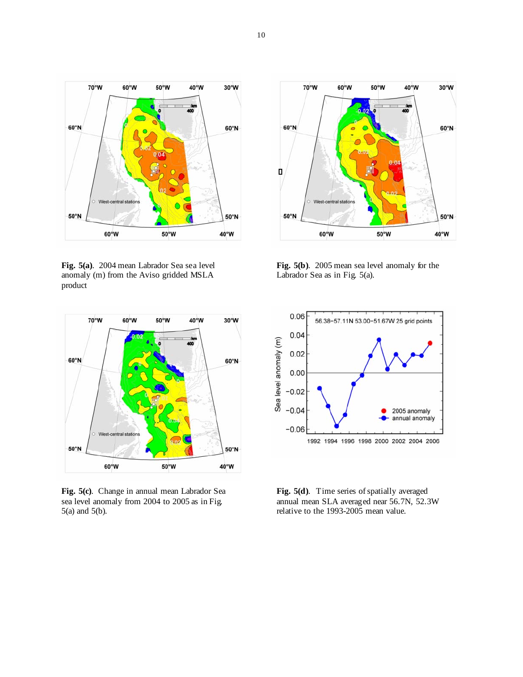

**Fig. 5(a)**. 2004 mean Labrador Sea sea level anomaly (m) from the Aviso gridded MSLA product



**Fig. 5(c)**. Change in annual mean Labrador Sea sea level anomaly from 2004 to 2005 as in Fig. 5(a) and 5(b).



**Fig. 5(b)**. 2005 mean sea level anomaly for the Labrador Sea as in Fig. 5(a).



**Fig. 5(d)**. Time series of spatially averaged annual mean SLA averaged near 56.7N, 52.3W relative to the 1993-2005 mean value.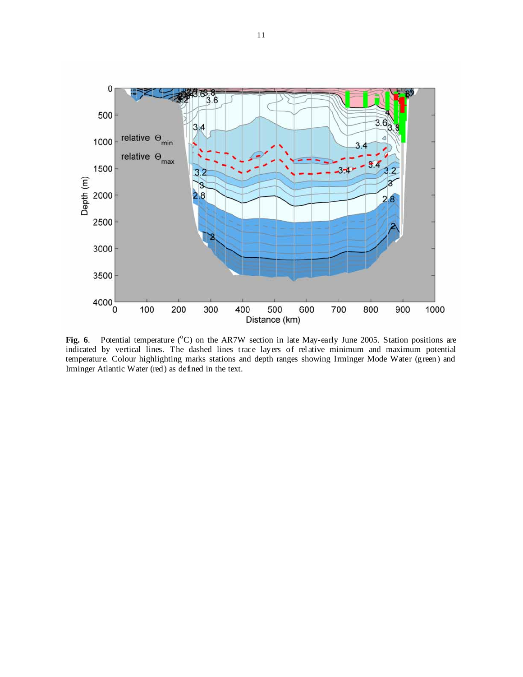

Fig. 6. Potential temperature (<sup>o</sup>C) on the AR7W section in late May-early June 2005. Station positions are indicated by vertical lines. The dashed lines trace layers of relative minimum and maximum potential temperature. Colour highlighting marks stations and depth ranges showing Irminger Mode Water (green) and Irminger Atlantic Water (red) as defined in the text.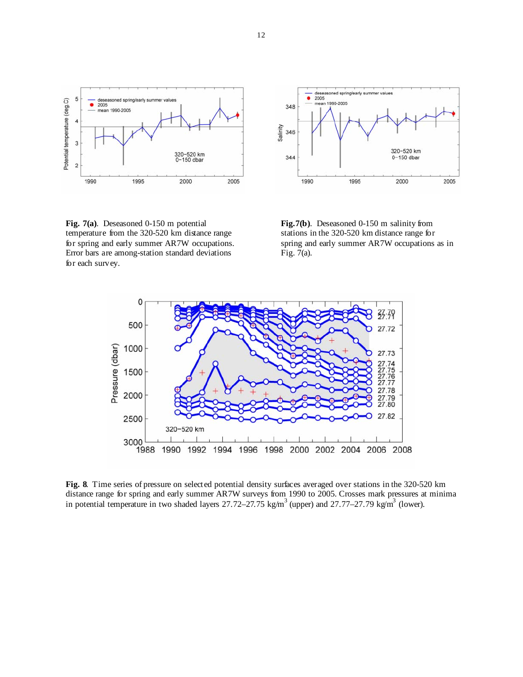

**Fig. 7(a)**. Deseasoned 0-150 m potential temperature from the 320-520 km distance range for spring and early summer AR7W occupations. Error bars are among-station standard deviations for each survey.



 **Fig.7(b)**. Deseasoned 0-150 m salinity from stations in the 320-520 km distance range for spring and early summer AR7W occupations as in Fig. 7(a).



**Fig. 8**. Time series of pressure on selected potential density surfaces averaged over stations in the 320-520 km distance range for spring and early summer AR7W surveys from 1990 to 2005. Crosses mark pressures at minima in potential temperature in two shaded layers 27.72–27.75 kg/m<sup>3</sup> (upper) and 27.77–27.79 kg/m<sup>3</sup> (lower).